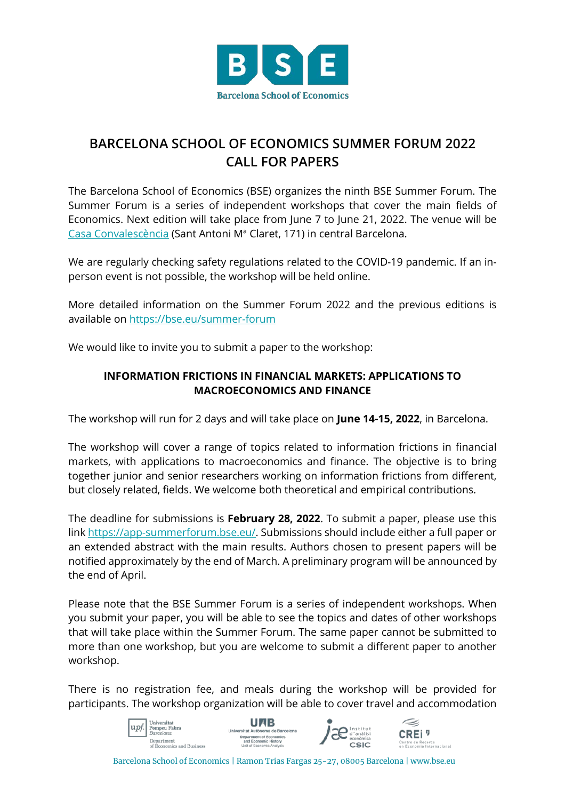

## **BARCELONA SCHOOL OF ECONOMICS SUMMER FORUM 2022 CALL FOR PAPERS**

The Barcelona School of Economics (BSE) organizes the ninth BSE Summer Forum. The Summer Forum is a series of independent workshops that cover the main fields of Economics. Next edition will take place from June 7 to June 21, 2022. The venue will be [Casa Convalescència](https://www.uab-casaconvalescencia.org/en/how-to-get-there.php) (Sant Antoni Mª Claret, 171) in central Barcelona.

We are regularly checking safety regulations related to the COVID-19 pandemic. If an inperson event is not possible, the workshop will be held online.

More detailed information on the Summer Forum 2022 and the previous editions is available on<https://bse.eu/summer-forum>

We would like to invite you to submit a paper to the workshop:

## **INFORMATION FRICTIONS IN FINANCIAL MARKETS: APPLICATIONS TO MACROECONOMICS AND FINANCE**

The workshop will run for 2 days and will take place on **June 14-15, 2022**, in Barcelona.

The workshop will cover a range of topics related to information frictions in financial markets, with applications to macroeconomics and finance. The objective is to bring together junior and senior researchers working on information frictions from different, but closely related, fields. We welcome both theoretical and empirical contributions.

The deadline for submissions is **February 28, 2022**. To submit a paper, please use this lin[k https://app-summerforum.bse.eu/.](https://app-summerforum.bse.eu/) Submissions should include either a full paper or an extended abstract with the main results. Authors chosen to present papers will be notified approximately by the end of March. A preliminary program will be announced by the end of April.

Please note that the BSE Summer Forum is a series of independent workshops. When you submit your paper, you will be able to see the topics and dates of other workshops that will take place within the Summer Forum. The same paper cannot be submitted to more than one workshop, but you are welcome to submit a different paper to another workshop.

There is no registration fee, and meals during the workshop will be provided for participants. The workshop organization will be able to cover travel and accommodation